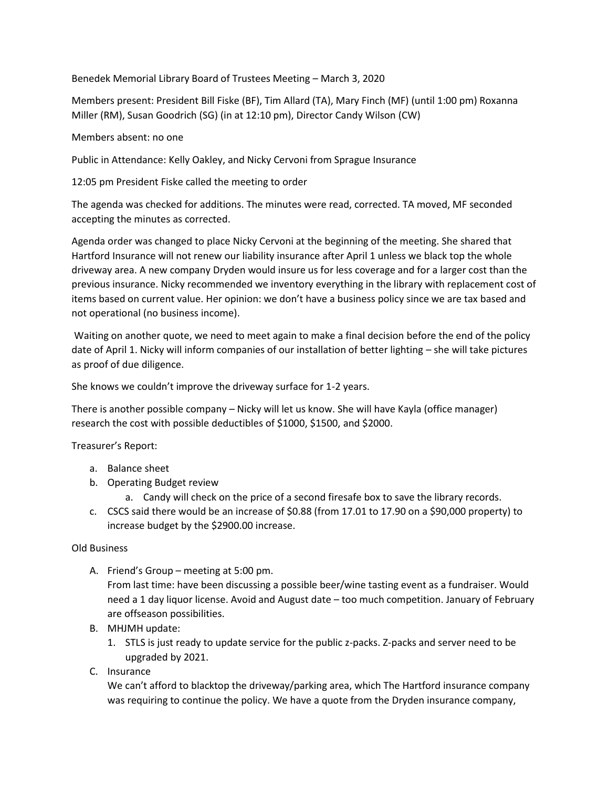Benedek Memorial Library Board of Trustees Meeting – March 3, 2020

Members present: President Bill Fiske (BF), Tim Allard (TA), Mary Finch (MF) (until 1:00 pm) Roxanna Miller (RM), Susan Goodrich (SG) (in at 12:10 pm), Director Candy Wilson (CW)

## Members absent: no one

Public in Attendance: Kelly Oakley, and Nicky Cervoni from Sprague Insurance

12:05 pm President Fiske called the meeting to order

The agenda was checked for additions. The minutes were read, corrected. TA moved, MF seconded accepting the minutes as corrected.

Agenda order was changed to place Nicky Cervoni at the beginning of the meeting. She shared that Hartford Insurance will not renew our liability insurance after April 1 unless we black top the whole driveway area. A new company Dryden would insure us for less coverage and for a larger cost than the previous insurance. Nicky recommended we inventory everything in the library with replacement cost of items based on current value. Her opinion: we don't have a business policy since we are tax based and not operational (no business income).

Waiting on another quote, we need to meet again to make a final decision before the end of the policy date of April 1. Nicky will inform companies of our installation of better lighting – she will take pictures as proof of due diligence.

She knows we couldn't improve the driveway surface for 1-2 years.

There is another possible company – Nicky will let us know. She will have Kayla (office manager) research the cost with possible deductibles of \$1000, \$1500, and \$2000.

Treasurer's Report:

- a. Balance sheet
- b. Operating Budget review
	- a. Candy will check on the price of a second firesafe box to save the library records.
- c. CSCS said there would be an increase of \$0.88 (from 17.01 to 17.90 on a \$90,000 property) to increase budget by the \$2900.00 increase.

## Old Business

A. Friend's Group – meeting at 5:00 pm.

From last time: have been discussing a possible beer/wine tasting event as a fundraiser. Would need a 1 day liquor license. Avoid and August date – too much competition. January of February are offseason possibilities.

- B. MHJMH update:
	- 1. STLS is just ready to update service for the public z-packs. Z-packs and server need to be upgraded by 2021.
- C. Insurance

We can't afford to blacktop the driveway/parking area, which The Hartford insurance company was requiring to continue the policy. We have a quote from the Dryden insurance company,